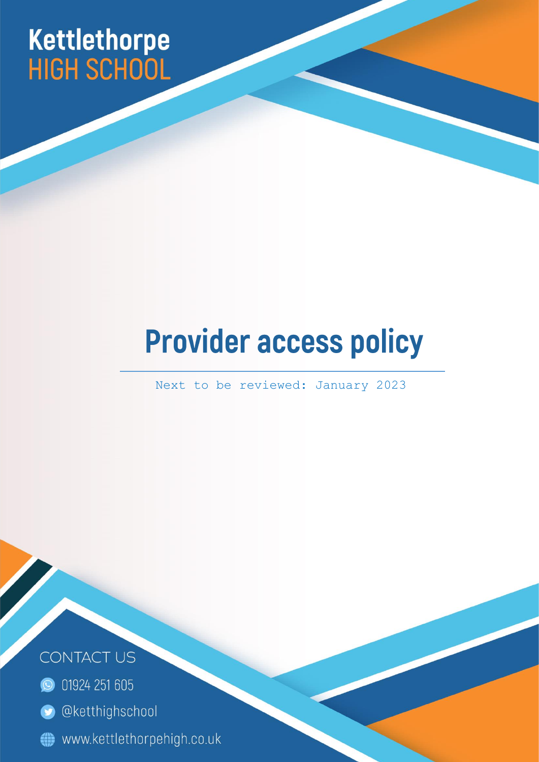# Kettlethorpe<br>HIGH SCHOOL

## **Provider access policy**

Next to be reviewed: January 2023

Page | 1



- **O** 01924 251 605
- **O** @ketthighschool
- www.kettlethorpehigh.co.uk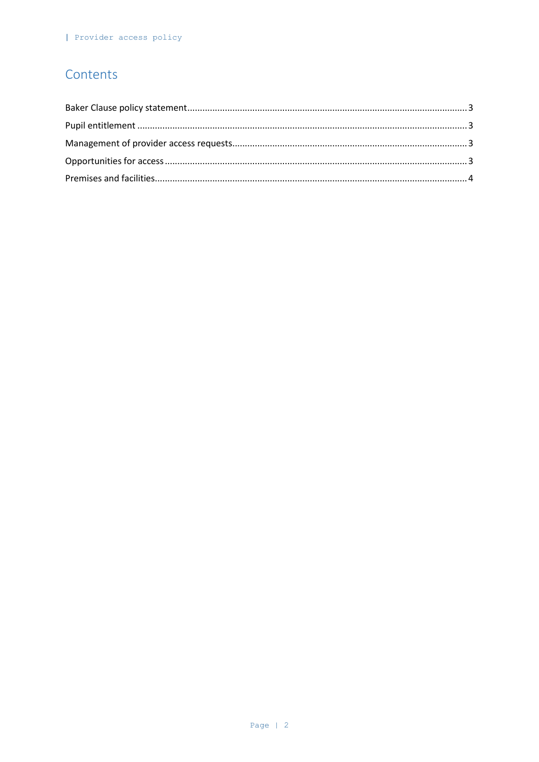#### Contents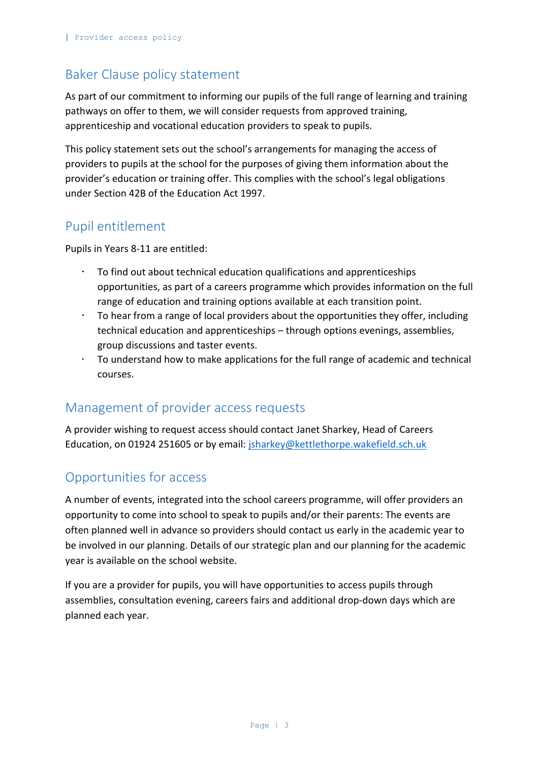#### <span id="page-2-0"></span>Baker Clause policy statement

As part of our commitment to informing our pupils of the full range of learning and training pathways on offer to them, we will consider requests from approved training, apprenticeship and vocational education providers to speak to pupils.

This policy statement sets out the school's arrangements for managing the access of providers to pupils at the school for the purposes of giving them information about the provider's education or training offer. This complies with the school's legal obligations under Section 42B of the Education Act 1997.

#### <span id="page-2-1"></span>Pupil entitlement

Pupils in Years 8-11 are entitled:

- To find out about technical education qualifications and apprenticeships opportunities, as part of a careers programme which provides information on the full range of education and training options available at each transition point.
- To hear from a range of local providers about the opportunities they offer, including technical education and apprenticeships – through options evenings, assemblies, group discussions and taster events.
- $\cdot$  To understand how to make applications for the full range of academic and technical courses.

#### <span id="page-2-2"></span>Management of provider access requests

A provider wishing to request access should contact Janet Sharkey, Head of Careers Education, on 01924 251605 or by email: [jsharkey@kettlethorpe.wakefield.sch.uk](mailto:jsharkey@kettlethorpe.wakefield.sch.uk)

### <span id="page-2-3"></span>Opportunities for access

A number of events, integrated into the school careers programme, will offer providers an opportunity to come into school to speak to pupils and/or their parents: The events are often planned well in advance so providers should contact us early in the academic year to be involved in our planning. Details of our strategic plan and our planning for the academic year is available on the school website.

If you are a provider for pupils, you will have opportunities to access pupils through assemblies, consultation evening, careers fairs and additional drop-down days which are planned each year.